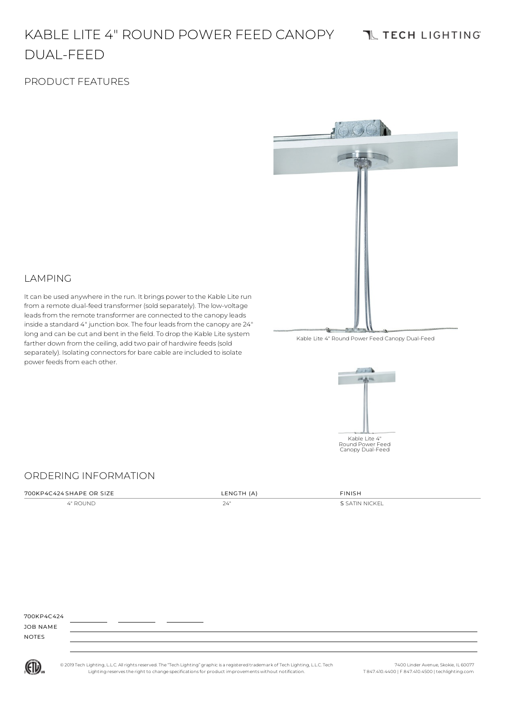#### KABLE LITE 4" ROUND POWER FEED CANOPY **TL TECH LIGHTING** DUAL-FEED

### PRODUCT FEATURES



### LAMPING

It can be used anywhere in the run. It brings power to the Kable Lite run from a remote dual-feed transformer (sold separately). The low-voltage leads from the remote transformer are connected to the canopy leads inside a standard 4" junction box. The four leads from the canopy are 24" long and can be cut and bent in the field. To drop the Kable Lite system farther down from the ceiling, add two pair of hardwire feeds (sold separately). Isolating connectors for bare cable are included to isolate power feeds from each other.





#### ORDERING INFORMATION

| 700KP4C424 SHAPE OR SIZE | LENGTH (A) | <b>FINISH</b>  |
|--------------------------|------------|----------------|
| 4" ROUND                 | 24"        | S SATIN NICKEL |

| 700KP4C424                                          |  |
|-----------------------------------------------------|--|
| JOB NAME                                            |  |
| <b>NOTES</b><br>the contract of the contract of the |  |



© 2019 Tech Lighting, L.L.C. All rightsreserved. The "Tech Lighting" graphicis a registered trademark of Tech Lighting, L.L.C. Tech Lighting reservesthe right to change specificationsfor product improvements without notification.